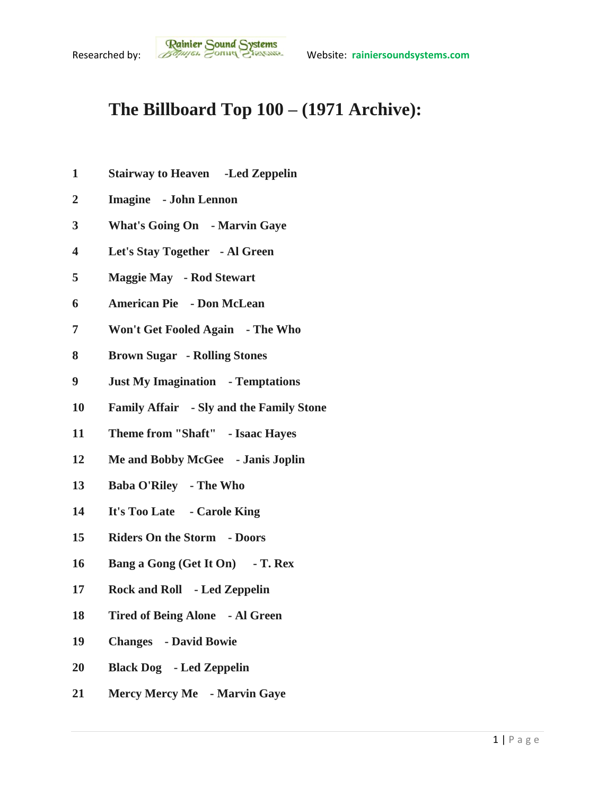## **The Billboard Top 100 – (1971 Archive):**

- **Stairway to Heaven -Led Zeppelin**
- **Imagine - John Lennon**
- **What's Going On - Marvin Gaye**
- **Let's Stay Together - Al Green**
- **Maggie May - Rod Stewart**
- **American Pie - Don McLean**
- **Won't Get Fooled Again - The Who**
- **Brown Sugar - Rolling Stones**
- **Just My Imagination - Temptations**
- **Family Affair - Sly and the Family Stone**
- **Theme from "Shaft" - Isaac Hayes**
- **Me and Bobby McGee - Janis Joplin**
- **Baba O'Riley - The Who**
- **It's Too Late - Carole King**
- **Riders On the Storm - Doors**
- **Bang a Gong (Get It On) - T. Rex**
- **Rock and Roll - Led Zeppelin**
- **Tired of Being Alone - Al Green**
- **Changes - David Bowie**
- **Black Dog - Led Zeppelin**
- **Mercy Mercy Me - Marvin Gaye**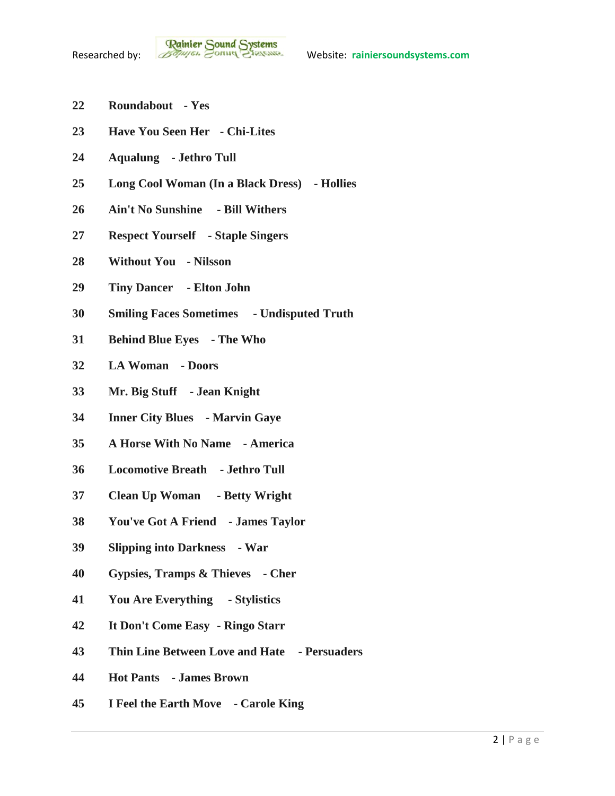- **Roundabout - Yes**
- **Have You Seen Her - Chi-Lites**
- **Aqualung - Jethro Tull**
- **Long Cool Woman (In a Black Dress) - Hollies**
- **Ain't No Sunshine - Bill Withers**
- **Respect Yourself - Staple Singers**
- **Without You - Nilsson**
- **Tiny Dancer - Elton John**
- **Smiling Faces Sometimes - Undisputed Truth**
- **Behind Blue Eyes - The Who**
- **LA Woman - Doors**
- **Mr. Big Stuff - Jean Knight**
- **Inner City Blues - Marvin Gaye**
- **A Horse With No Name - America**
- **Locomotive Breath - Jethro Tull**
- **Clean Up Woman - Betty Wright**
- **You've Got A Friend - James Taylor**
- **Slipping into Darkness - War**
- **Gypsies, Tramps & Thieves - Cher**
- **You Are Everything - Stylistics**
- **It Don't Come Easy - Ringo Starr**
- **Thin Line Between Love and Hate - Persuaders**
- **Hot Pants - James Brown**
- **I Feel the Earth Move - Carole King**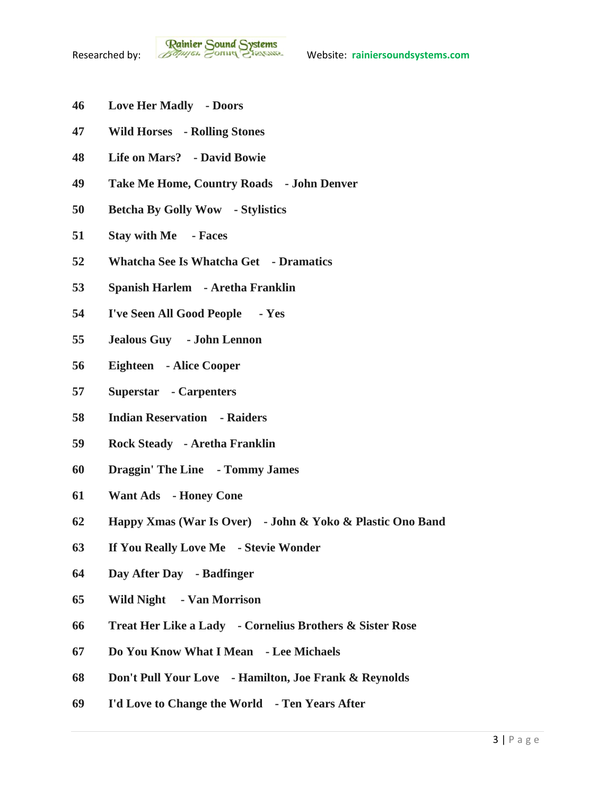- **Love Her Madly - Doors**
- **Wild Horses - Rolling Stones**
- **Life on Mars? - David Bowie**
- **Take Me Home, Country Roads - John Denver**
- **Betcha By Golly Wow - Stylistics**
- **Stay with Me - Faces**
- **Whatcha See Is Whatcha Get - Dramatics**
- **Spanish Harlem - Aretha Franklin**
- **I've Seen All Good People - Yes**
- **Jealous Guy - John Lennon**
- **Eighteen - Alice Cooper**
- **Superstar - Carpenters**
- **Indian Reservation - Raiders**
- **Rock Steady - Aretha Franklin**
- **Draggin' The Line - Tommy James**
- **Want Ads - Honey Cone**
- **Happy Xmas (War Is Over) - John & Yoko & Plastic Ono Band**
- **If You Really Love Me - Stevie Wonder**
- **Day After Day - Badfinger**
- **Wild Night - Van Morrison**
- **Treat Her Like a Lady - Cornelius Brothers & Sister Rose**
- **Do You Know What I Mean - Lee Michaels**
- **Don't Pull Your Love - Hamilton, Joe Frank & Reynolds**
- **I'd Love to Change the World - Ten Years After**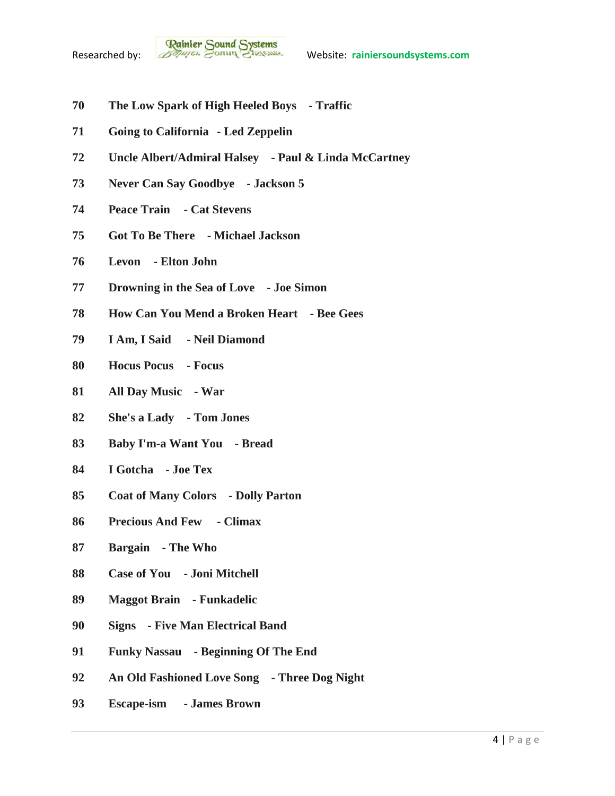- **The Low Spark of High Heeled Boys - Traffic**
- **Going to California - Led Zeppelin**
- **Uncle Albert/Admiral Halsey - Paul & Linda McCartney**
- **Never Can Say Goodbye - Jackson 5**
- **Peace Train - Cat Stevens**
- **Got To Be There - Michael Jackson**
- **Levon - Elton John**
- **Drowning in the Sea of Love - Joe Simon**
- **How Can You Mend a Broken Heart - Bee Gees**
- **I Am, I Said - Neil Diamond**
- **Hocus Pocus - Focus**
- **All Day Music - War**
- **She's a Lady - Tom Jones**
- **Baby I'm-a Want You - Bread**
- **I Gotcha - Joe Tex**
- **Coat of Many Colors - Dolly Parton**
- **Precious And Few - Climax**
- **Bargain - The Who**
- **Case of You - Joni Mitchell**
- **Maggot Brain - Funkadelic**
- **Signs - Five Man Electrical Band**
- **Funky Nassau - Beginning Of The End**
- **An Old Fashioned Love Song - Three Dog Night**
- **Escape-ism - James Brown**